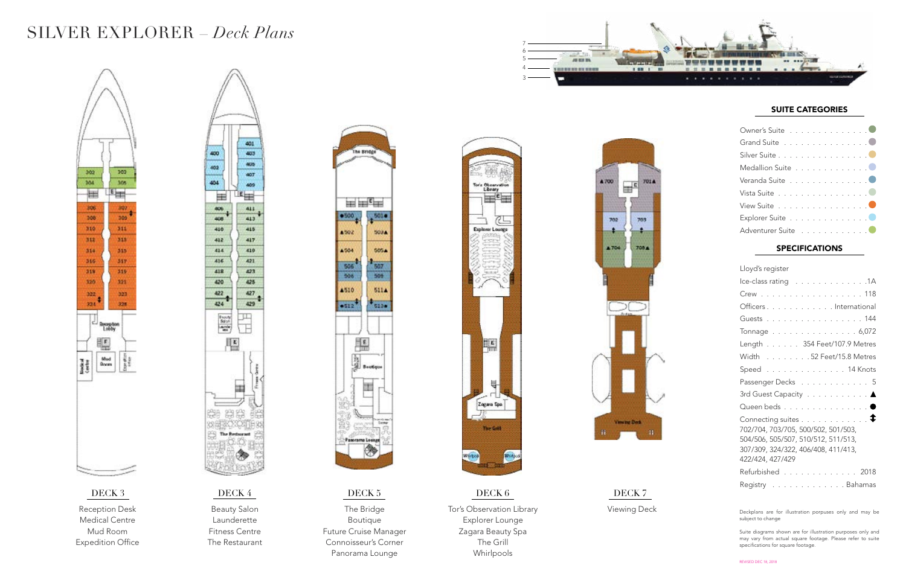

### SUITE CATEGORIES

| Owner's Suite 0    |  |  |  |  |  |  |
|--------------------|--|--|--|--|--|--|
| Grand Suite 0      |  |  |  |  |  |  |
| Silver Suite 0     |  |  |  |  |  |  |
| Medallion Suite 0  |  |  |  |  |  |  |
| Veranda Suite 0    |  |  |  |  |  |  |
| Vista Suite 0      |  |  |  |  |  |  |
| View Suite 0       |  |  |  |  |  |  |
| Explorer Suite 0   |  |  |  |  |  |  |
| Adventurer Suite 0 |  |  |  |  |  |  |

| Lloyd's register                                                                                                                                                                     |
|--------------------------------------------------------------------------------------------------------------------------------------------------------------------------------------|
| Ice-class rating 1A                                                                                                                                                                  |
| Crew 118                                                                                                                                                                             |
| Officers International                                                                                                                                                               |
| Guests 144                                                                                                                                                                           |
| Tonnage 6,072                                                                                                                                                                        |
| Length 354 Feet/107.9 Metres                                                                                                                                                         |
| Width 52 Feet/15.8 Metres                                                                                                                                                            |
| Speed 14 Knots                                                                                                                                                                       |
| Passenger Decks 5                                                                                                                                                                    |
| 3rd Guest Capacity ▲                                                                                                                                                                 |
| Queen beds 0                                                                                                                                                                         |
| Connecting suites $\dots \dots \dots \dots$<br>702/704, 703/705, 500/502, 501/503,<br>504/506, 505/507, 510/512, 511/513,<br>307/309, 324/322, 406/408, 411/413,<br>422/424, 427/429 |
| Refurbished 2018                                                                                                                                                                     |
| Registry Bahamas                                                                                                                                                                     |

## SPECIFICATIONS



Reception Desk Medical Centre Mud Room Expedition Office



Beauty Salon Launderette Fitness Centre The Restaurant



The Bridge Boutique Future Cruise Manager Connoisseur's Corner Panorama Lounge



Tor's Observation Library Explorer Lounge Zagara Beauty Spa The Grill Whirlpools

Viewing Deck

**Viewing Deck** 

A 700

702

A 704

701A

703

705 A

 $\mathbb{H}^{\mathfrak{c}}$ 

## SILVER EXPLORER – *Deck Plans*

Deckplans are for illustration porpuses only and may be subject to change

Suite diagrams shown are for illustration purposes only and may vary from actual square footage. Please refer to suite specifications for square footage.